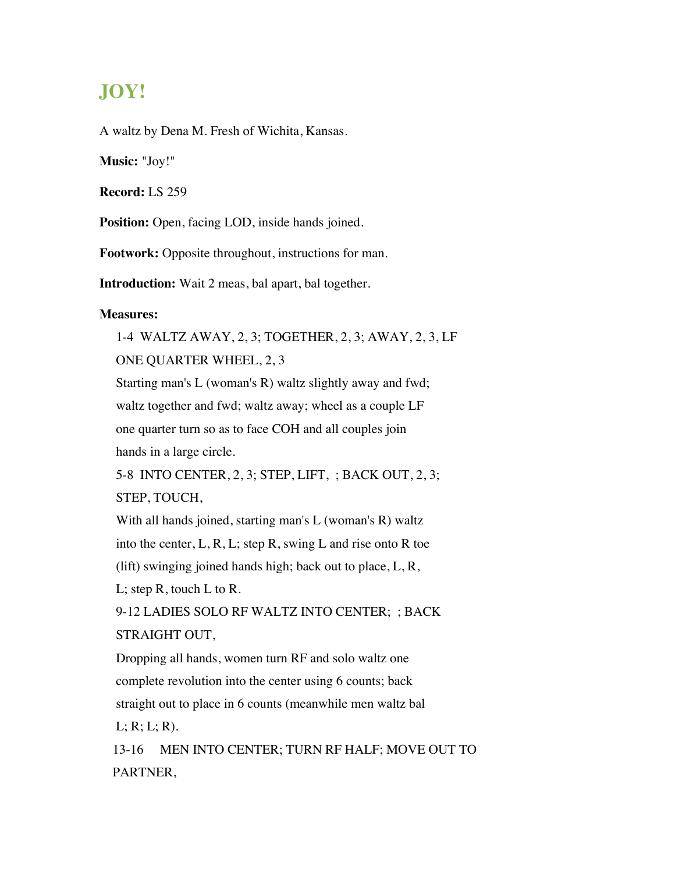## **JOY!**

A waltz by Dena M. Fresh of Wichita, Kansas.

**Music:** "Joy!"

**Record:** LS 259

**Position:** Open, facing LOD, inside hands joined.

**Footwork:** Opposite throughout, instructions for man.

**Introduction:** Wait 2 meas, bal apart, bal together.

## **Measures:**

1-4 WALTZ AWAY, 2, 3; TOGETHER, 2, 3; AWAY, 2, 3, LF ONE QUARTER WHEEL, 2, 3 Starting man's L (woman's R) waltz slightly away and fwd; waltz together and fwd; waltz away; wheel as a couple LF one quarter turn so as to face COH and all couples join hands in a large circle.

5-8 INTO CENTER, 2, 3; STEP, LIFT, ; BACK OUT, 2, 3; STEP, TOUCH,

With all hands joined, starting man's L (woman's R) waltz into the center, L, R, L; step R, swing L and rise onto R toe (lift) swinging joined hands high; back out to place, L, R, L; step R, touch L to R.

9-12 LADIES SOLO RF WALTZ INTO CENTER; ; BACK STRAIGHT OUT,

Dropping all hands, women turn RF and solo waltz one complete revolution into the center using 6 counts; back straight out to place in 6 counts (meanwhile men waltz bal  $L; R; L; R$ .

13-16 MEN INTO CENTER; TURN RF HALF; MOVE OUT TO PARTNER,